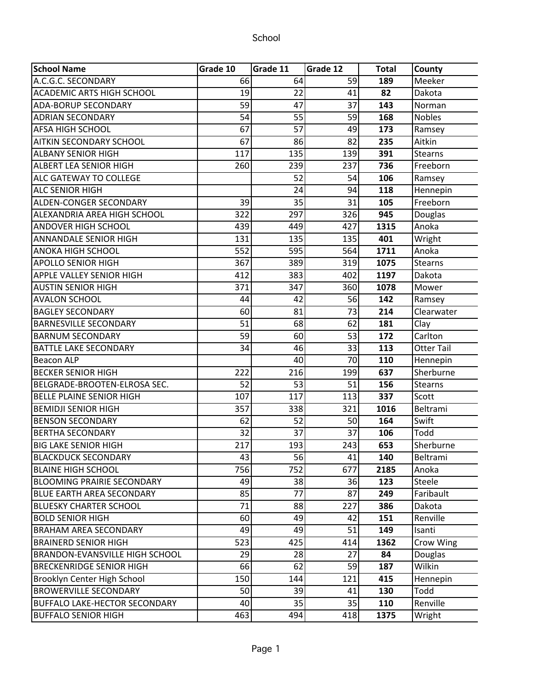| <b>School Name</b>                    | Grade 10 | Grade 11        | Grade 12 | <b>Total</b> | County            |
|---------------------------------------|----------|-----------------|----------|--------------|-------------------|
| A.C.G.C. SECONDARY                    | 66       | 64              | 59       | 189          | Meeker            |
| <b>ACADEMIC ARTS HIGH SCHOOL</b>      | 19       | 22              | 41       | 82           | Dakota            |
| <b>ADA-BORUP SECONDARY</b>            | 59       | 47              | 37       | 143          | Norman            |
| <b>ADRIAN SECONDARY</b>               | 54       | 55              | 59       | 168          | <b>Nobles</b>     |
| <b>AFSA HIGH SCHOOL</b>               | 67       | $\overline{57}$ | 49       | 173          | Ramsey            |
| <b>AITKIN SECONDARY SCHOOL</b>        | 67       | 86              | 82       | 235          | Aitkin            |
| <b>ALBANY SENIOR HIGH</b>             | 117      | 135             | 139      | 391          | <b>Stearns</b>    |
| ALBERT LEA SENIOR HIGH                | 260      | 239             | 237      | 736          | Freeborn          |
| <b>ALC GATEWAY TO COLLEGE</b>         |          | 52              | 54       | 106          | Ramsey            |
| <b>ALC SENIOR HIGH</b>                |          | 24              | 94       | 118          | Hennepin          |
| <b>ALDEN-CONGER SECONDARY</b>         | 39       | 35              | 31       | 105          | Freeborn          |
| ALEXANDRIA AREA HIGH SCHOOL           | 322      | 297             | 326      | 945          | Douglas           |
| <b>ANDOVER HIGH SCHOOL</b>            | 439      | 449             | 427      | 1315         | Anoka             |
| <b>ANNANDALE SENIOR HIGH</b>          | 131      | 135             | 135      | 401          | Wright            |
| <b>ANOKA HIGH SCHOOL</b>              | 552      | 595             | 564      | 1711         | Anoka             |
| <b>APOLLO SENIOR HIGH</b>             | 367      | 389             | 319      | 1075         | <b>Stearns</b>    |
| <b>APPLE VALLEY SENIOR HIGH</b>       | 412      | 383             | 402      | 1197         | Dakota            |
| <b>AUSTIN SENIOR HIGH</b>             | 371      | 347             | 360      | 1078         | Mower             |
| <b>AVALON SCHOOL</b>                  | 44       | 42              | 56       | 142          | Ramsey            |
| <b>BAGLEY SECONDARY</b>               | 60       | 81              | 73       | 214          | Clearwater        |
| <b>BARNESVILLE SECONDARY</b>          | 51       | 68              | 62       | 181          | Clay              |
| <b>BARNUM SECONDARY</b>               | 59       | 60              | 53       | 172          | Carlton           |
| <b>BATTLE LAKE SECONDARY</b>          | 34       | 46              | 33       | 113          | <b>Otter Tail</b> |
| <b>Beacon ALP</b>                     |          | 40              | 70       | 110          | Hennepin          |
| <b>BECKER SENIOR HIGH</b>             | 222      | 216             | 199      | 637          | Sherburne         |
| BELGRADE-BROOTEN-ELROSA SEC.          | 52       | 53              | 51       | 156          | <b>Stearns</b>    |
| <b>BELLE PLAINE SENIOR HIGH</b>       | 107      | 117             | 113      | 337          | Scott             |
| <b>BEMIDJI SENIOR HIGH</b>            | 357      | 338             | 321      | 1016         | Beltrami          |
| <b>BENSON SECONDARY</b>               | 62       | 52              | 50       | 164          | Swift             |
| <b>BERTHA SECONDARY</b>               | 32       | 37              | 37       | 106          | Todd              |
| <b>BIG LAKE SENIOR HIGH</b>           | 217      | 193             | 243      | 653          | Sherburne         |
| <b>BLACKDUCK SECONDARY</b>            | 43       | 56              | 41       | 140          | Beltrami          |
| <b>BLAINE HIGH SCHOOL</b>             | 756      | 752             | 677      | 2185         | Anoka             |
| <b>BLOOMING PRAIRIE SECONDARY</b>     | 49       | 38              | 36       | 123          | <b>Steele</b>     |
| <b>BLUE EARTH AREA SECONDARY</b>      | 85       | 77              | 87       | 249          | Faribault         |
| <b>BLUESKY CHARTER SCHOOL</b>         | 71       | 88              | 227      | 386          | Dakota            |
| <b>BOLD SENIOR HIGH</b>               | 60       | 49              | 42       | 151          | Renville          |
| <b>BRAHAM AREA SECONDARY</b>          | 49       | 49              | 51       | 149          | Isanti            |
| <b>BRAINERD SENIOR HIGH</b>           | 523      | 425             | 414      | 1362         | Crow Wing         |
| <b>BRANDON-EVANSVILLE HIGH SCHOOL</b> | 29       | 28              | 27       | 84           | Douglas           |
| <b>BRECKENRIDGE SENIOR HIGH</b>       | 66       | 62              | 59       | 187          | Wilkin            |
| Brooklyn Center High School           | 150      | 144             | 121      | 415          | Hennepin          |
| <b>BROWERVILLE SECONDARY</b>          | 50       | 39              | 41       | 130          | Todd              |
| <b>BUFFALO LAKE-HECTOR SECONDARY</b>  | 40       | 35              | 35       | 110          | Renville          |
| <b>BUFFALO SENIOR HIGH</b>            | 463      | 494             | 418      | 1375         | Wright            |
|                                       |          |                 |          |              |                   |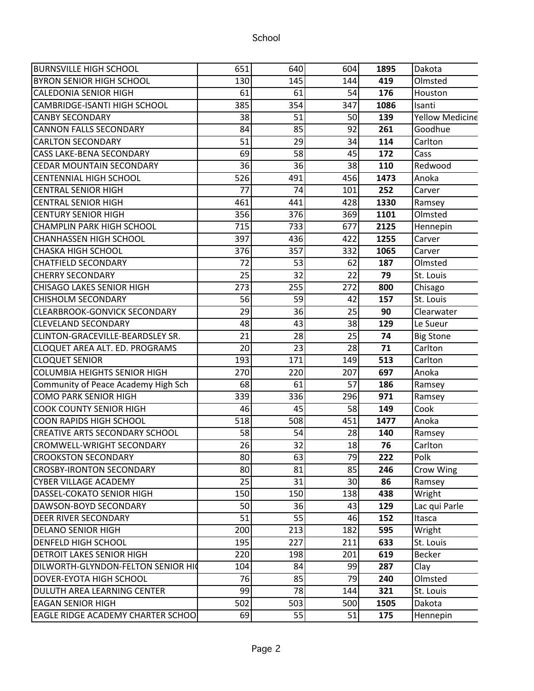| 130<br>145<br>144<br>419<br>Olmsted<br>61<br>61<br>54<br>176<br>Houston<br>385<br>354<br>347<br>1086<br>Isanti<br>38<br><b>Yellow Medicine</b><br>51<br>50<br>139<br>84<br>85<br>92<br>261<br>Goodhue<br>51<br>29<br>34<br>114<br>Carlton<br>69<br>58<br>45<br>172<br>Cass<br>36<br>36<br>38<br>Redwood<br>110<br>526<br>491<br>456<br>1473<br>Anoka<br>77<br>74<br>101<br>252<br>Carver<br>461<br>441<br>428<br>1330<br>Ramsey<br>356<br>376<br>369<br>1101<br>Olmsted<br>715<br>733<br>677<br>2125<br>Hennepin<br>397<br>436<br>422<br>1255<br>Carver<br>376<br>357<br>332<br>1065<br>Carver<br>72<br>53<br>62<br>187<br>Olmsted<br>25<br>32<br>22<br>79<br>St. Louis<br>273<br>255<br>272<br>800<br>Chisago<br>56<br>59<br>42<br>157<br>St. Louis<br>29<br>25<br>36<br>90<br>Clearwater<br>48<br>43<br>38<br>129<br>Le Sueur<br>25<br>21<br>28<br>74<br><b>Big Stone</b><br>28<br>20<br>23<br>71<br>Carlton<br>193<br>171<br>Carlton<br>149<br>513<br>270<br>220<br>207<br>697<br>Anoka<br>68<br>61<br>57<br>186<br>Ramsey<br>339<br>336<br>971<br>296<br>Ramsey<br>46<br>45<br>58<br>149<br>Cook<br>518<br>508<br>451<br>1477<br>Anoka<br>58<br>54<br>28<br>140<br>Ramsey<br>26<br>$\overline{32}$<br>18<br>76<br>Carlton<br>80<br>63<br>79<br>222<br>Polk<br>85<br>80<br>81<br>246<br>Crow Wing<br>25<br>31<br>30<br>86<br>Ramsey<br>150<br>150<br>138<br>438<br>Wright<br>50<br>36<br>43<br>129<br>Lac qui Parle<br>51<br>55<br>46<br>152<br>Itasca<br>200<br>213<br>182<br>595<br>Wright<br>195<br>227<br>211<br>633<br>St. Louis<br>220<br>198<br>201<br>619<br>Becker<br>104<br>84<br>99<br>287<br>Clay<br>76<br>85<br>79<br>240<br>Olmsted<br>99<br>78<br>321<br>St. Louis<br>144<br>502<br>503<br>500<br>1505<br>Dakota<br>69<br>55<br>51<br>175<br>Hennepin | BURNSVILLE HIGH SCHOOL                   | 651 | 640 | 604 | 1895 | Dakota |
|-------------------------------------------------------------------------------------------------------------------------------------------------------------------------------------------------------------------------------------------------------------------------------------------------------------------------------------------------------------------------------------------------------------------------------------------------------------------------------------------------------------------------------------------------------------------------------------------------------------------------------------------------------------------------------------------------------------------------------------------------------------------------------------------------------------------------------------------------------------------------------------------------------------------------------------------------------------------------------------------------------------------------------------------------------------------------------------------------------------------------------------------------------------------------------------------------------------------------------------------------------------------------------------------------------------------------------------------------------------------------------------------------------------------------------------------------------------------------------------------------------------------------------------------------------------------------------------------------------------------------------------------------------------------------------------------------------------------------------------------------------------------------|------------------------------------------|-----|-----|-----|------|--------|
|                                                                                                                                                                                                                                                                                                                                                                                                                                                                                                                                                                                                                                                                                                                                                                                                                                                                                                                                                                                                                                                                                                                                                                                                                                                                                                                                                                                                                                                                                                                                                                                                                                                                                                                                                                         | BYRON SENIOR HIGH SCHOOL                 |     |     |     |      |        |
|                                                                                                                                                                                                                                                                                                                                                                                                                                                                                                                                                                                                                                                                                                                                                                                                                                                                                                                                                                                                                                                                                                                                                                                                                                                                                                                                                                                                                                                                                                                                                                                                                                                                                                                                                                         | CALEDONIA SENIOR HIGH                    |     |     |     |      |        |
|                                                                                                                                                                                                                                                                                                                                                                                                                                                                                                                                                                                                                                                                                                                                                                                                                                                                                                                                                                                                                                                                                                                                                                                                                                                                                                                                                                                                                                                                                                                                                                                                                                                                                                                                                                         | CAMBRIDGE-ISANTI HIGH SCHOOL             |     |     |     |      |        |
|                                                                                                                                                                                                                                                                                                                                                                                                                                                                                                                                                                                                                                                                                                                                                                                                                                                                                                                                                                                                                                                                                                                                                                                                                                                                                                                                                                                                                                                                                                                                                                                                                                                                                                                                                                         | <b>CANBY SECONDARY</b>                   |     |     |     |      |        |
|                                                                                                                                                                                                                                                                                                                                                                                                                                                                                                                                                                                                                                                                                                                                                                                                                                                                                                                                                                                                                                                                                                                                                                                                                                                                                                                                                                                                                                                                                                                                                                                                                                                                                                                                                                         | <b>CANNON FALLS SECONDARY</b>            |     |     |     |      |        |
|                                                                                                                                                                                                                                                                                                                                                                                                                                                                                                                                                                                                                                                                                                                                                                                                                                                                                                                                                                                                                                                                                                                                                                                                                                                                                                                                                                                                                                                                                                                                                                                                                                                                                                                                                                         | <b>CARLTON SECONDARY</b>                 |     |     |     |      |        |
|                                                                                                                                                                                                                                                                                                                                                                                                                                                                                                                                                                                                                                                                                                                                                                                                                                                                                                                                                                                                                                                                                                                                                                                                                                                                                                                                                                                                                                                                                                                                                                                                                                                                                                                                                                         | CASS LAKE-BENA SECONDARY                 |     |     |     |      |        |
|                                                                                                                                                                                                                                                                                                                                                                                                                                                                                                                                                                                                                                                                                                                                                                                                                                                                                                                                                                                                                                                                                                                                                                                                                                                                                                                                                                                                                                                                                                                                                                                                                                                                                                                                                                         | <b>CEDAR MOUNTAIN SECONDARY</b>          |     |     |     |      |        |
|                                                                                                                                                                                                                                                                                                                                                                                                                                                                                                                                                                                                                                                                                                                                                                                                                                                                                                                                                                                                                                                                                                                                                                                                                                                                                                                                                                                                                                                                                                                                                                                                                                                                                                                                                                         | <b>CENTENNIAL HIGH SCHOOL</b>            |     |     |     |      |        |
|                                                                                                                                                                                                                                                                                                                                                                                                                                                                                                                                                                                                                                                                                                                                                                                                                                                                                                                                                                                                                                                                                                                                                                                                                                                                                                                                                                                                                                                                                                                                                                                                                                                                                                                                                                         | <b>CENTRAL SENIOR HIGH</b>               |     |     |     |      |        |
|                                                                                                                                                                                                                                                                                                                                                                                                                                                                                                                                                                                                                                                                                                                                                                                                                                                                                                                                                                                                                                                                                                                                                                                                                                                                                                                                                                                                                                                                                                                                                                                                                                                                                                                                                                         | <b>CENTRAL SENIOR HIGH</b>               |     |     |     |      |        |
|                                                                                                                                                                                                                                                                                                                                                                                                                                                                                                                                                                                                                                                                                                                                                                                                                                                                                                                                                                                                                                                                                                                                                                                                                                                                                                                                                                                                                                                                                                                                                                                                                                                                                                                                                                         | <b>CENTURY SENIOR HIGH</b>               |     |     |     |      |        |
|                                                                                                                                                                                                                                                                                                                                                                                                                                                                                                                                                                                                                                                                                                                                                                                                                                                                                                                                                                                                                                                                                                                                                                                                                                                                                                                                                                                                                                                                                                                                                                                                                                                                                                                                                                         | CHAMPLIN PARK HIGH SCHOOL                |     |     |     |      |        |
|                                                                                                                                                                                                                                                                                                                                                                                                                                                                                                                                                                                                                                                                                                                                                                                                                                                                                                                                                                                                                                                                                                                                                                                                                                                                                                                                                                                                                                                                                                                                                                                                                                                                                                                                                                         | <b>CHANHASSEN HIGH SCHOOL</b>            |     |     |     |      |        |
|                                                                                                                                                                                                                                                                                                                                                                                                                                                                                                                                                                                                                                                                                                                                                                                                                                                                                                                                                                                                                                                                                                                                                                                                                                                                                                                                                                                                                                                                                                                                                                                                                                                                                                                                                                         | CHASKA HIGH SCHOOL                       |     |     |     |      |        |
|                                                                                                                                                                                                                                                                                                                                                                                                                                                                                                                                                                                                                                                                                                                                                                                                                                                                                                                                                                                                                                                                                                                                                                                                                                                                                                                                                                                                                                                                                                                                                                                                                                                                                                                                                                         | <b>CHATFIELD SECONDARY</b>               |     |     |     |      |        |
|                                                                                                                                                                                                                                                                                                                                                                                                                                                                                                                                                                                                                                                                                                                                                                                                                                                                                                                                                                                                                                                                                                                                                                                                                                                                                                                                                                                                                                                                                                                                                                                                                                                                                                                                                                         | <b>CHERRY SECONDARY</b>                  |     |     |     |      |        |
|                                                                                                                                                                                                                                                                                                                                                                                                                                                                                                                                                                                                                                                                                                                                                                                                                                                                                                                                                                                                                                                                                                                                                                                                                                                                                                                                                                                                                                                                                                                                                                                                                                                                                                                                                                         | <b>CHISAGO LAKES SENIOR HIGH</b>         |     |     |     |      |        |
|                                                                                                                                                                                                                                                                                                                                                                                                                                                                                                                                                                                                                                                                                                                                                                                                                                                                                                                                                                                                                                                                                                                                                                                                                                                                                                                                                                                                                                                                                                                                                                                                                                                                                                                                                                         | <b>CHISHOLM SECONDARY</b>                |     |     |     |      |        |
|                                                                                                                                                                                                                                                                                                                                                                                                                                                                                                                                                                                                                                                                                                                                                                                                                                                                                                                                                                                                                                                                                                                                                                                                                                                                                                                                                                                                                                                                                                                                                                                                                                                                                                                                                                         | <b>CLEARBROOK-GONVICK SECONDARY</b>      |     |     |     |      |        |
|                                                                                                                                                                                                                                                                                                                                                                                                                                                                                                                                                                                                                                                                                                                                                                                                                                                                                                                                                                                                                                                                                                                                                                                                                                                                                                                                                                                                                                                                                                                                                                                                                                                                                                                                                                         | <b>CLEVELAND SECONDARY</b>               |     |     |     |      |        |
|                                                                                                                                                                                                                                                                                                                                                                                                                                                                                                                                                                                                                                                                                                                                                                                                                                                                                                                                                                                                                                                                                                                                                                                                                                                                                                                                                                                                                                                                                                                                                                                                                                                                                                                                                                         | CLINTON-GRACEVILLE-BEARDSLEY SR.         |     |     |     |      |        |
|                                                                                                                                                                                                                                                                                                                                                                                                                                                                                                                                                                                                                                                                                                                                                                                                                                                                                                                                                                                                                                                                                                                                                                                                                                                                                                                                                                                                                                                                                                                                                                                                                                                                                                                                                                         | <b>CLOQUET AREA ALT. ED. PROGRAMS</b>    |     |     |     |      |        |
|                                                                                                                                                                                                                                                                                                                                                                                                                                                                                                                                                                                                                                                                                                                                                                                                                                                                                                                                                                                                                                                                                                                                                                                                                                                                                                                                                                                                                                                                                                                                                                                                                                                                                                                                                                         | <b>CLOQUET SENIOR</b>                    |     |     |     |      |        |
|                                                                                                                                                                                                                                                                                                                                                                                                                                                                                                                                                                                                                                                                                                                                                                                                                                                                                                                                                                                                                                                                                                                                                                                                                                                                                                                                                                                                                                                                                                                                                                                                                                                                                                                                                                         | <b>COLUMBIA HEIGHTS SENIOR HIGH</b>      |     |     |     |      |        |
|                                                                                                                                                                                                                                                                                                                                                                                                                                                                                                                                                                                                                                                                                                                                                                                                                                                                                                                                                                                                                                                                                                                                                                                                                                                                                                                                                                                                                                                                                                                                                                                                                                                                                                                                                                         | Community of Peace Academy High Sch      |     |     |     |      |        |
|                                                                                                                                                                                                                                                                                                                                                                                                                                                                                                                                                                                                                                                                                                                                                                                                                                                                                                                                                                                                                                                                                                                                                                                                                                                                                                                                                                                                                                                                                                                                                                                                                                                                                                                                                                         | <b>COMO PARK SENIOR HIGH</b>             |     |     |     |      |        |
|                                                                                                                                                                                                                                                                                                                                                                                                                                                                                                                                                                                                                                                                                                                                                                                                                                                                                                                                                                                                                                                                                                                                                                                                                                                                                                                                                                                                                                                                                                                                                                                                                                                                                                                                                                         | <b>COOK COUNTY SENIOR HIGH</b>           |     |     |     |      |        |
|                                                                                                                                                                                                                                                                                                                                                                                                                                                                                                                                                                                                                                                                                                                                                                                                                                                                                                                                                                                                                                                                                                                                                                                                                                                                                                                                                                                                                                                                                                                                                                                                                                                                                                                                                                         | COON RAPIDS HIGH SCHOOL                  |     |     |     |      |        |
|                                                                                                                                                                                                                                                                                                                                                                                                                                                                                                                                                                                                                                                                                                                                                                                                                                                                                                                                                                                                                                                                                                                                                                                                                                                                                                                                                                                                                                                                                                                                                                                                                                                                                                                                                                         | <b>CREATIVE ARTS SECONDARY SCHOOL</b>    |     |     |     |      |        |
|                                                                                                                                                                                                                                                                                                                                                                                                                                                                                                                                                                                                                                                                                                                                                                                                                                                                                                                                                                                                                                                                                                                                                                                                                                                                                                                                                                                                                                                                                                                                                                                                                                                                                                                                                                         | CROMWELL-WRIGHT SECONDARY                |     |     |     |      |        |
|                                                                                                                                                                                                                                                                                                                                                                                                                                                                                                                                                                                                                                                                                                                                                                                                                                                                                                                                                                                                                                                                                                                                                                                                                                                                                                                                                                                                                                                                                                                                                                                                                                                                                                                                                                         | <b>CROOKSTON SECONDARY</b>               |     |     |     |      |        |
|                                                                                                                                                                                                                                                                                                                                                                                                                                                                                                                                                                                                                                                                                                                                                                                                                                                                                                                                                                                                                                                                                                                                                                                                                                                                                                                                                                                                                                                                                                                                                                                                                                                                                                                                                                         | <b>CROSBY-IRONTON SECONDARY</b>          |     |     |     |      |        |
|                                                                                                                                                                                                                                                                                                                                                                                                                                                                                                                                                                                                                                                                                                                                                                                                                                                                                                                                                                                                                                                                                                                                                                                                                                                                                                                                                                                                                                                                                                                                                                                                                                                                                                                                                                         | <b>CYBER VILLAGE ACADEMY</b>             |     |     |     |      |        |
|                                                                                                                                                                                                                                                                                                                                                                                                                                                                                                                                                                                                                                                                                                                                                                                                                                                                                                                                                                                                                                                                                                                                                                                                                                                                                                                                                                                                                                                                                                                                                                                                                                                                                                                                                                         | DASSEL-COKATO SENIOR HIGH                |     |     |     |      |        |
|                                                                                                                                                                                                                                                                                                                                                                                                                                                                                                                                                                                                                                                                                                                                                                                                                                                                                                                                                                                                                                                                                                                                                                                                                                                                                                                                                                                                                                                                                                                                                                                                                                                                                                                                                                         | DAWSON-BOYD SECONDARY                    |     |     |     |      |        |
|                                                                                                                                                                                                                                                                                                                                                                                                                                                                                                                                                                                                                                                                                                                                                                                                                                                                                                                                                                                                                                                                                                                                                                                                                                                                                                                                                                                                                                                                                                                                                                                                                                                                                                                                                                         | <b>DEER RIVER SECONDARY</b>              |     |     |     |      |        |
|                                                                                                                                                                                                                                                                                                                                                                                                                                                                                                                                                                                                                                                                                                                                                                                                                                                                                                                                                                                                                                                                                                                                                                                                                                                                                                                                                                                                                                                                                                                                                                                                                                                                                                                                                                         | <b>DELANO SENIOR HIGH</b>                |     |     |     |      |        |
|                                                                                                                                                                                                                                                                                                                                                                                                                                                                                                                                                                                                                                                                                                                                                                                                                                                                                                                                                                                                                                                                                                                                                                                                                                                                                                                                                                                                                                                                                                                                                                                                                                                                                                                                                                         | <b>DENFELD HIGH SCHOOL</b>               |     |     |     |      |        |
|                                                                                                                                                                                                                                                                                                                                                                                                                                                                                                                                                                                                                                                                                                                                                                                                                                                                                                                                                                                                                                                                                                                                                                                                                                                                                                                                                                                                                                                                                                                                                                                                                                                                                                                                                                         | <b>DETROIT LAKES SENIOR HIGH</b>         |     |     |     |      |        |
|                                                                                                                                                                                                                                                                                                                                                                                                                                                                                                                                                                                                                                                                                                                                                                                                                                                                                                                                                                                                                                                                                                                                                                                                                                                                                                                                                                                                                                                                                                                                                                                                                                                                                                                                                                         | DILWORTH-GLYNDON-FELTON SENIOR HIQ       |     |     |     |      |        |
|                                                                                                                                                                                                                                                                                                                                                                                                                                                                                                                                                                                                                                                                                                                                                                                                                                                                                                                                                                                                                                                                                                                                                                                                                                                                                                                                                                                                                                                                                                                                                                                                                                                                                                                                                                         | DOVER-EYOTA HIGH SCHOOL                  |     |     |     |      |        |
|                                                                                                                                                                                                                                                                                                                                                                                                                                                                                                                                                                                                                                                                                                                                                                                                                                                                                                                                                                                                                                                                                                                                                                                                                                                                                                                                                                                                                                                                                                                                                                                                                                                                                                                                                                         | DULUTH AREA LEARNING CENTER              |     |     |     |      |        |
|                                                                                                                                                                                                                                                                                                                                                                                                                                                                                                                                                                                                                                                                                                                                                                                                                                                                                                                                                                                                                                                                                                                                                                                                                                                                                                                                                                                                                                                                                                                                                                                                                                                                                                                                                                         | <b>EAGAN SENIOR HIGH</b>                 |     |     |     |      |        |
|                                                                                                                                                                                                                                                                                                                                                                                                                                                                                                                                                                                                                                                                                                                                                                                                                                                                                                                                                                                                                                                                                                                                                                                                                                                                                                                                                                                                                                                                                                                                                                                                                                                                                                                                                                         | <b>EAGLE RIDGE ACADEMY CHARTER SCHOO</b> |     |     |     |      |        |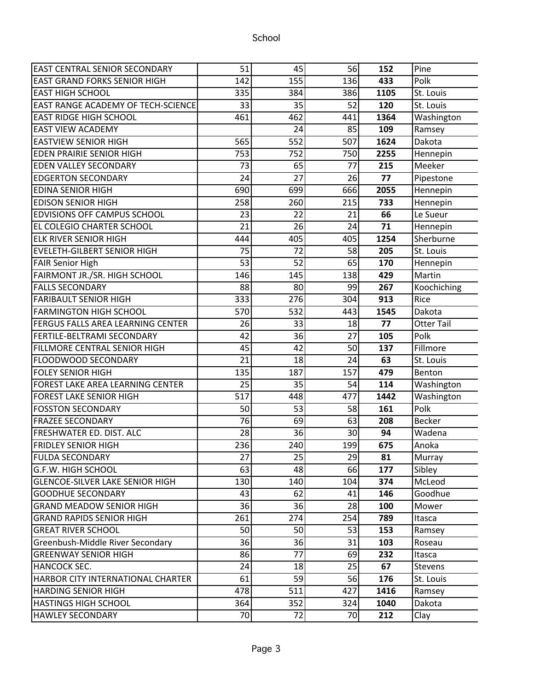| <b>EAST CENTRAL SENIOR SECONDARY</b>      | 51  | 45  | 56  | 152  | Pine              |
|-------------------------------------------|-----|-----|-----|------|-------------------|
| <b>EAST GRAND FORKS SENIOR HIGH</b>       | 142 | 155 | 136 | 433  | Polk              |
| <b>EAST HIGH SCHOOL</b>                   | 335 | 384 | 386 | 1105 | St. Louis         |
| <b>EAST RANGE ACADEMY OF TECH-SCIENCE</b> | 33  | 35  | 52  | 120  | St. Louis         |
| <b>EAST RIDGE HIGH SCHOOL</b>             | 461 | 462 | 441 | 1364 | Washington        |
| <b>EAST VIEW ACADEMY</b>                  |     | 24  | 85  | 109  | Ramsey            |
| <b>EASTVIEW SENIOR HIGH</b>               | 565 | 552 | 507 | 1624 | Dakota            |
| <b>EDEN PRAIRIE SENIOR HIGH</b>           | 753 | 752 | 750 | 2255 | Hennepin          |
| <b>EDEN VALLEY SECONDARY</b>              | 73  | 65  | 77  | 215  | Meeker            |
| <b>EDGERTON SECONDARY</b>                 | 24  | 27  | 26  | 77   | Pipestone         |
| <b>EDINA SENIOR HIGH</b>                  | 690 | 699 | 666 | 2055 | Hennepin          |
| <b>EDISON SENIOR HIGH</b>                 | 258 | 260 | 215 | 733  | Hennepin          |
| <b>EDVISIONS OFF CAMPUS SCHOOL</b>        | 23  | 22  | 21  | 66   | Le Sueur          |
| EL COLEGIO CHARTER SCHOOL                 | 21  | 26  | 24  | 71   | Hennepin          |
| <b>ELK RIVER SENIOR HIGH</b>              | 444 | 405 | 405 | 1254 | Sherburne         |
| EVELETH-GILBERT SENIOR HIGH               | 75  | 72  | 58  | 205  | St. Louis         |
| <b>FAIR Senior High</b>                   | 53  | 52  | 65  | 170  | Hennepin          |
| FAIRMONT JR./SR. HIGH SCHOOL              | 146 | 145 | 138 | 429  | Martin            |
| <b>FALLS SECONDARY</b>                    | 88  | 80  | 99  | 267  | Koochiching       |
| <b>FARIBAULT SENIOR HIGH</b>              | 333 | 276 | 304 | 913  | Rice              |
| <b>FARMINGTON HIGH SCHOOL</b>             | 570 | 532 | 443 | 1545 | Dakota            |
| <b>FERGUS FALLS AREA LEARNING CENTER</b>  | 26  | 33  | 18  | 77   | <b>Otter Tail</b> |
| <b>FERTILE-BELTRAMI SECONDARY</b>         | 42  | 36  | 27  | 105  | Polk              |
| <b>FILLMORE CENTRAL SENIOR HIGH</b>       | 45  | 42  | 50  | 137  | Fillmore          |
| <b>FLOODWOOD SECONDARY</b>                | 21  | 18  | 24  | 63   | St. Louis         |
| <b>FOLEY SENIOR HIGH</b>                  | 135 | 187 | 157 | 479  | Benton            |
| FOREST LAKE AREA LEARNING CENTER          | 25  | 35  | 54  | 114  | Washington        |
| <b>FOREST LAKE SENIOR HIGH</b>            | 517 | 448 | 477 | 1442 | Washington        |
| <b>FOSSTON SECONDARY</b>                  | 50  | 53  | 58  | 161  | Polk              |
| <b>FRAZEE SECONDARY</b>                   | 76  | 69  | 63  | 208  | <b>Becker</b>     |
| FRESHWATER ED. DIST. ALC                  | 28  | 36  | 30  | 94   | Wadena            |
| <b>FRIDLEY SENIOR HIGH</b>                | 236 | 240 | 199 | 675  | Anoka             |
| <b>FULDA SECONDARY</b>                    | 27  | 25  | 29  | 81   | Murray            |
| G.F.W. HIGH SCHOOL                        | 63  | 48  | 66  | 177  | Sibley            |
| <b>GLENCOE-SILVER LAKE SENIOR HIGH</b>    | 130 | 140 | 104 | 374  | McLeod            |
| GOODHUE SECONDARY                         | 43  | 62  | 41  | 146  | Goodhue           |
| <b>GRAND MEADOW SENIOR HIGH</b>           | 36  | 36  | 28  | 100  | Mower             |
| <b>GRAND RAPIDS SENIOR HIGH</b>           | 261 | 274 | 254 | 789  | Itasca            |
| <b>GREAT RIVER SCHOOL</b>                 | 50  | 50  | 53  | 153  | Ramsey            |
| Greenbush-Middle River Secondary          | 36  | 36  | 31  | 103  | Roseau            |
| <b>GREENWAY SENIOR HIGH</b>               | 86  | 77  | 69  | 232  | Itasca            |
| HANCOCK SEC.                              | 24  | 18  | 25  | 67   | <b>Stevens</b>    |
| HARBOR CITY INTERNATIONAL CHARTER         | 61  | 59  | 56  | 176  | St. Louis         |
| <b>HARDING SENIOR HIGH</b>                | 478 | 511 | 427 | 1416 | Ramsey            |
| <b>HASTINGS HIGH SCHOOL</b>               | 364 | 352 | 324 | 1040 | Dakota            |
| <b>HAWLEY SECONDARY</b>                   | 70  | 72  | 70  | 212  | Clay              |
|                                           |     |     |     |      |                   |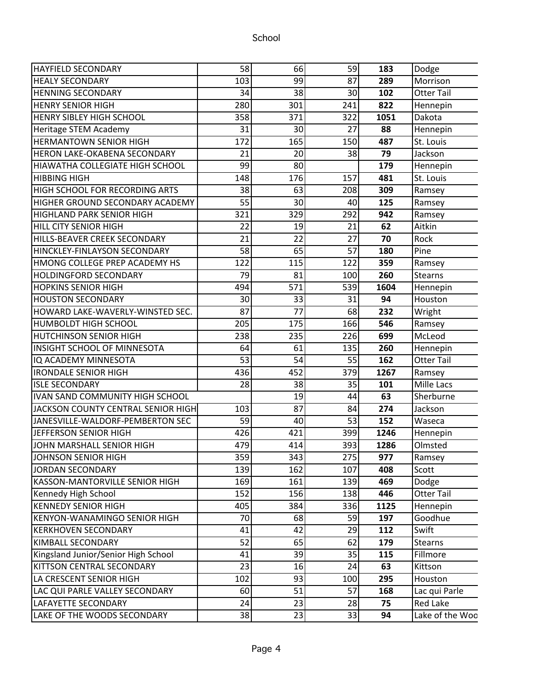#### HAYFIELD SECONDARY 58 66 59 **183** Dodge HEALY SECONDARY 103 99 87 **289** Morrison HENNING SECONDARY 34 38 30 **102** Otter Tail HENRY SENIOR HIGH  $\begin{array}{ccc} 280 & 301 & 241 & 822 \end{array}$  Hennepin HENRY SIBLEY HIGH SCHOOL 358 371 322 **1051** Dakota Heritage STEM Academy **88** Hennepin 31 30 27 88 Hennepin HERMANTOWN SENIOR HIGH 172 165 150 **487** St. Louis HERON LAKE-OKABENA SECONDARY | 21 20 38 79 Jackson HIAWATHA COLLEGIATE HIGH SCHOOL **89** 99 80 80 179 Hennepin HIBBING HIGH 148 176 157 **481** St. Louis HIGH SCHOOL FOR RECORDING ARTS  $\begin{vmatrix} 38 & 63 & 208 & 309 \end{vmatrix}$  Ramsey HIGHER GROUND SECONDARY ACADEMY | 55 30 40 125 Ramsey HIGHLAND PARK SENIOR HIGH  $\begin{vmatrix} 321 & 329 & 292 \end{vmatrix}$  942 Ramsey HILL CITY SENIOR HIGH 22 19 21 **62** Aitkin HILLS-BEAVER CREEK SECONDARY **21** 22 27 70 Rock HINCKLEY-FINLAYSON SECONDARY 58 65 57 **180** Pine HMONG COLLEGE PREP ACADEMY HS  $\begin{array}{|c|c|c|c|c|c|c|c|} \hline \text{HMONG} & \text{0} & \text{122} & \text{359} & \text{Ramsey} \ \hline \end{array}$ HOLDINGFORD SECONDARY **19** 79 81 100 260 Stearns HOPKINS SENIOR HIGH **1994** 571 539 1604 Hennepin HOUSTON SECONDARY 30 33 31 **94** Houston HOWARD LAKE-WAVERLY-WINSTED SEC. | 87 77 68 232 Wright HUMBOLDT HIGH SCHOOL **175 175 166 546** Ramsey HUTCHINSON SENIOR HIGH 238 235 226 **699** McLeod INSIGHT SCHOOL OF MINNESOTA **84** 61 **135 260** Hennepin IQ ACADEMY MINNESOTA **162** 53 54 55 **162** Otter Tail IRONDALE SENIOR HIGH 436 452 379 **1267** Ramsey  $ISE$  SECONDARY  $28$   $38$   $35$   $101$  Mille Lacs IVAN SAND COMMUNITY HIGH SCHOOL 19 44 **63** Sherburne JACKSON COUNTY CENTRAL SENIOR HIGH 103 87 84 **274** Jackson JANESVILLE-WALDORF-PEMBERTON SEC 59 40 53 **152** Waseca JEFFERSON SENIOR HIGH **ALLARY CONDUCT ASSESS 1246** Hennepin JOHN MARSHALL SENIOR HIGH 479 414 393 **1286** Olmsted JOHNSON SENIOR HIGH 359 343 275 **977** Ramsey JORDAN SECONDARY 139 162 107 **408** Scott KASSON-MANTORVILLE SENIOR HIGH | 169 161 161 139 469 Dodge Kennedy High School **Contained Extending Light Contained Authorizes** 156 138 **446** Otter Tail KENNEDY SENIOR HIGH 405 384 336 **1125** Hennepin KENYON-WANAMINGO SENIOR HIGH 70 68 59 **197** Goodhue KERKHOVEN SECONDARY 41 42 29 **112** Swift KIMBALL SECONDARY 52 65 62 **179** Stearns Kingsland Junior/Senior High School | 41 39 35 115 Fillmore KITTSON CENTRAL SECONDARY **1** 23 16 24 63 Kittson LA CRESCENT SENIOR HIGH 102 93 100 **295** Houston LAC QUI PARLE VALLEY SECONDARY  $\begin{vmatrix} 60 & 51 & 57 \end{vmatrix}$  **168** Lac qui Parle LAFAYETTE SECONDARY 24 23 28 **75** Red Lake LAKE OF THE WOODS SECONDARY 188 23 33 34 Lake of the Woods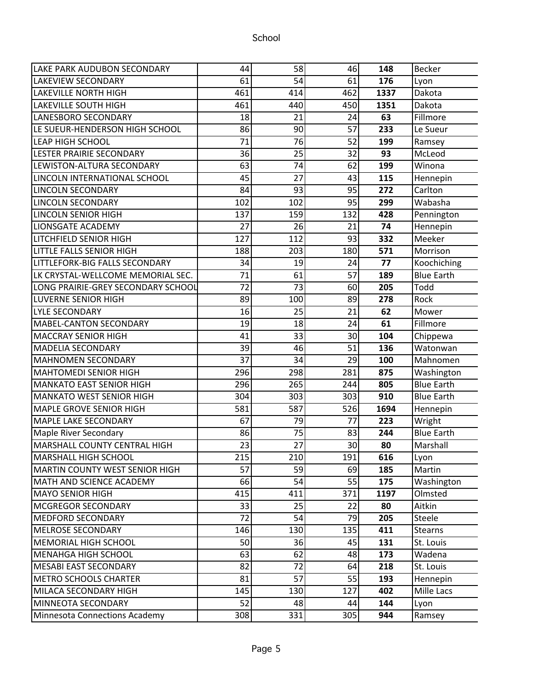| <b>LAKE PARK AUDUBON SECONDARY</b> | 44              | 58  | 46  | 148  | <b>Becker</b>     |
|------------------------------------|-----------------|-----|-----|------|-------------------|
| <b>LAKEVIEW SECONDARY</b>          | 61              | 54  | 61  | 176  | Lyon              |
| LAKEVILLE NORTH HIGH               | 461             | 414 | 462 | 1337 | Dakota            |
| LAKEVILLE SOUTH HIGH               | 461             | 440 | 450 | 1351 | Dakota            |
| LANESBORO SECONDARY                | 18              | 21  | 24  | 63   | Fillmore          |
| LE SUEUR-HENDERSON HIGH SCHOOL     | 86              | 90  | 57  | 233  | Le Sueur          |
| <b>LEAP HIGH SCHOOL</b>            | 71              | 76  | 52  | 199  | Ramsey            |
| LESTER PRAIRIE SECONDARY           | 36              | 25  | 32  | 93   | McLeod            |
| LEWISTON-ALTURA SECONDARY          | 63              | 74  | 62  | 199  | Winona            |
| LINCOLN INTERNATIONAL SCHOOL       | 45              | 27  | 43  | 115  | Hennepin          |
| <b>LINCOLN SECONDARY</b>           | 84              | 93  | 95  | 272  | Carlton           |
| <b>LINCOLN SECONDARY</b>           | 102             | 102 | 95  | 299  | Wabasha           |
| <b>LINCOLN SENIOR HIGH</b>         | 137             | 159 | 132 | 428  | Pennington        |
| LIONSGATE ACADEMY                  | 27              | 26  | 21  | 74   | Hennepin          |
| <b>LITCHFIELD SENIOR HIGH</b>      | 127             | 112 | 93  | 332  | Meeker            |
| LITTLE FALLS SENIOR HIGH           | 188             | 203 | 180 | 571  | Morrison          |
| LITTLEFORK-BIG FALLS SECONDARY     | 34              | 19  | 24  | 77   | Koochiching       |
| LK CRYSTAL-WELLCOME MEMORIAL SEC.  | 71              | 61  | 57  | 189  | <b>Blue Earth</b> |
| LONG PRAIRIE-GREY SECONDARY SCHOOL | $\overline{72}$ | 73  | 60  | 205  | Todd              |
| <b>LUVERNE SENIOR HIGH</b>         | 89              | 100 | 89  | 278  | Rock              |
| LYLE SECONDARY                     | 16              | 25  | 21  | 62   | Mower             |
| MABEL-CANTON SECONDARY             | 19              | 18  | 24  | 61   | Fillmore          |
| <b>MACCRAY SENIOR HIGH</b>         | 41              | 33  | 30  | 104  | Chippewa          |
| MADELIA SECONDARY                  | 39              | 46  | 51  | 136  | Watonwan          |
| MAHNOMEN SECONDARY                 | 37              | 34  | 29  | 100  | Mahnomen          |
| <b>MAHTOMEDI SENIOR HIGH</b>       | 296             | 298 | 281 | 875  | Washington        |
| <b>MANKATO EAST SENIOR HIGH</b>    | 296             | 265 | 244 | 805  | <b>Blue Earth</b> |
| MANKATO WEST SENIOR HIGH           | 304             | 303 | 303 | 910  | <b>Blue Earth</b> |
| <b>MAPLE GROVE SENIOR HIGH</b>     | 581             | 587 | 526 | 1694 | Hennepin          |
| <b>MAPLE LAKE SECONDARY</b>        | 67              | 79  | 77  | 223  | Wright            |
| Maple River Secondary              | 86              | 75  | 83  | 244  | <b>Blue Earth</b> |
| MARSHALL COUNTY CENTRAL HIGH       | 23              | 27  | 30  | 80   | Marshall          |
| MARSHALL HIGH SCHOOL               | 215             | 210 | 191 | 616  | Lyon              |
| MARTIN COUNTY WEST SENIOR HIGH     | 57              | 59  | 69  | 185  | Martin            |
| MATH AND SCIENCE ACADEMY           | 66              | 54  | 55  | 175  | Washington        |
| MAYO SENIOR HIGH                   | 415             | 411 | 371 | 1197 | Olmsted           |
| MCGREGOR SECONDARY                 | 33              | 25  | 22  | 80   | Aitkin            |
| MEDFORD SECONDARY                  | 72              | 54  | 79  | 205  | Steele            |
| MELROSE SECONDARY                  | 146             | 130 | 135 | 411  | <b>Stearns</b>    |
| MEMORIAL HIGH SCHOOL               | 50              | 36  | 45  | 131  | St. Louis         |
| <b>MENAHGA HIGH SCHOOL</b>         | 63              | 62  | 48  | 173  | Wadena            |
| MESABI EAST SECONDARY              | 82              | 72  | 64  | 218  | St. Louis         |
| METRO SCHOOLS CHARTER              | 81              | 57  | 55  | 193  | Hennepin          |
| MILACA SECONDARY HIGH              | 145             | 130 | 127 | 402  | Mille Lacs        |
| MINNEOTA SECONDARY                 | 52              | 48  | 44  | 144  | Lyon              |
| Minnesota Connections Academy      | 308             | 331 | 305 | 944  | Ramsey            |
|                                    |                 |     |     |      |                   |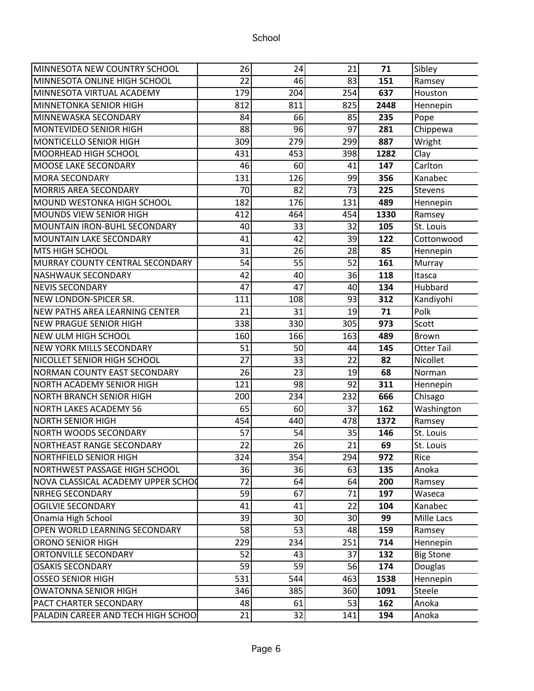| MINNESOTA NEW COUNTRY SCHOOL       | 26  | 24  | 21  | 71   | Sibley            |
|------------------------------------|-----|-----|-----|------|-------------------|
| MINNESOTA ONLINE HIGH SCHOOL       | 22  | 46  | 83  | 151  | Ramsey            |
| MINNESOTA VIRTUAL ACADEMY          | 179 | 204 | 254 | 637  | Houston           |
| MINNETONKA SENIOR HIGH             | 812 | 811 | 825 | 2448 | Hennepin          |
| MINNEWASKA SECONDARY               | 84  | 66  | 85  | 235  | Pope              |
| MONTEVIDEO SENIOR HIGH             | 88  | 96  | 97  | 281  | Chippewa          |
| MONTICELLO SENIOR HIGH             | 309 | 279 | 299 | 887  | Wright            |
| MOORHEAD HIGH SCHOOL               | 431 | 453 | 398 | 1282 | Clay              |
| MOOSE LAKE SECONDARY               | 46  | 60  | 41  | 147  | Carlton           |
| <b>MORA SECONDARY</b>              | 131 | 126 | 99  | 356  | Kanabec           |
| <b>MORRIS AREA SECONDARY</b>       | 70  | 82  | 73  | 225  | <b>Stevens</b>    |
| MOUND WESTONKA HIGH SCHOOL         | 182 | 176 | 131 | 489  | Hennepin          |
| MOUNDS VIEW SENIOR HIGH            | 412 | 464 | 454 | 1330 | Ramsey            |
| MOUNTAIN IRON-BUHL SECONDARY       | 40  | 33  | 32  | 105  | St. Louis         |
| <b>MOUNTAIN LAKE SECONDARY</b>     | 41  | 42  | 39  | 122  | Cottonwood        |
| <b>MTS HIGH SCHOOL</b>             | 31  | 26  | 28  | 85   | Hennepin          |
| MURRAY COUNTY CENTRAL SECONDARY    | 54  | 55  | 52  | 161  | Murray            |
| NASHWAUK SECONDARY                 | 42  | 40  | 36  | 118  | Itasca            |
| NEVIS SECONDARY                    | 47  | 47  | 40  | 134  | Hubbard           |
| NEW LONDON-SPICER SR.              | 111 | 108 | 93  | 312  | Kandiyohi         |
| NEW PATHS AREA LEARNING CENTER     | 21  | 31  | 19  | 71   | Polk              |
| NEW PRAGUE SENIOR HIGH             | 338 | 330 | 305 | 973  | Scott             |
| NEW ULM HIGH SCHOOL                | 160 | 166 | 163 | 489  | Brown             |
| NEW YORK MILLS SECONDARY           | 51  | 50  | 44  | 145  | <b>Otter Tail</b> |
| NICOLLET SENIOR HIGH SCHOOL        | 27  | 33  | 22  | 82   | Nicollet          |
| NORMAN COUNTY EAST SECONDARY       | 26  | 23  | 19  | 68   | Norman            |
| NORTH ACADEMY SENIOR HIGH          | 121 | 98  | 92  | 311  | Hennepin          |
| NORTH BRANCH SENIOR HIGH           | 200 | 234 | 232 | 666  | Chisago           |
| NORTH LAKES ACADEMY 56             | 65  | 60  | 37  | 162  | Washington        |
| <b>NORTH SENIOR HIGH</b>           | 454 | 440 | 478 | 1372 | Ramsey            |
| NORTH WOODS SECONDARY              | 57  | 54  | 35  | 146  | St. Louis         |
| NORTHEAST RANGE SECONDARY          | 22  | 26  | 21  | 69   | St. Louis         |
| NORTHFIELD SENIOR HIGH             | 324 | 354 | 294 | 972  | Rice              |
| NORTHWEST PASSAGE HIGH SCHOOL      | 36  | 36  | 63  | 135  | Anoka             |
| NOVA CLASSICAL ACADEMY UPPER SCHOC | 72  | 64  | 64  | 200  | Ramsey            |
| <b>NRHEG SECONDARY</b>             | 59  | 67  | 71  | 197  | Waseca            |
| <b>OGILVIE SECONDARY</b>           | 41  | 41  | 22  | 104  | Kanabec           |
| Onamia High School                 | 39  | 30  | 30  | 99   | Mille Lacs        |
| OPEN WORLD LEARNING SECONDARY      | 58  | 53  | 48  | 159  | Ramsey            |
| <b>ORONO SENIOR HIGH</b>           | 229 | 234 | 251 | 714  | Hennepin          |
| <b>ORTONVILLE SECONDARY</b>        | 52  | 43  | 37  | 132  | <b>Big Stone</b>  |
| <b>OSAKIS SECONDARY</b>            | 59  | 59  | 56  | 174  | Douglas           |
| <b>OSSEO SENIOR HIGH</b>           | 531 | 544 | 463 | 1538 | Hennepin          |
| OWATONNA SENIOR HIGH               | 346 | 385 | 360 | 1091 | Steele            |
| <b>PACT CHARTER SECONDARY</b>      | 48  | 61  | 53  | 162  | Anoka             |
| PALADIN CAREER AND TECH HIGH SCHOO | 21  | 32  | 141 | 194  | Anoka             |
|                                    |     |     |     |      |                   |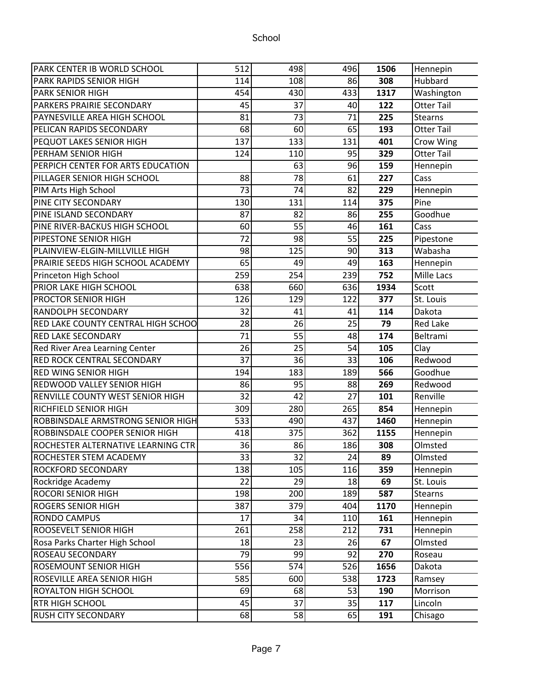| PARK CENTER IB WORLD SCHOOL               | 512             | 498             | 496 | 1506 | Hennepin          |
|-------------------------------------------|-----------------|-----------------|-----|------|-------------------|
| PARK RAPIDS SENIOR HIGH                   | 114             | 108             | 86  | 308  | Hubbard           |
| <b>PARK SENIOR HIGH</b>                   | 454             | 430             | 433 | 1317 | Washington        |
| PARKERS PRAIRIE SECONDARY                 | 45              | 37              | 40  | 122  | <b>Otter Tail</b> |
| PAYNESVILLE AREA HIGH SCHOOL              | 81              | 73              | 71  | 225  | <b>Stearns</b>    |
| PELICAN RAPIDS SECONDARY                  | 68              | 60              | 65  | 193  | <b>Otter Tail</b> |
| <b>PEQUOT LAKES SENIOR HIGH</b>           | 137             | 133             | 131 | 401  | Crow Wing         |
| <b>PERHAM SENIOR HIGH</b>                 | 124             | 110             | 95  | 329  | <b>Otter Tail</b> |
| PERPICH CENTER FOR ARTS EDUCATION         |                 | 63              | 96  | 159  | Hennepin          |
| PILLAGER SENIOR HIGH SCHOOL               | 88              | 78              | 61  | 227  | Cass              |
| PIM Arts High School                      | $\overline{73}$ | $\overline{74}$ | 82  | 229  | Hennepin          |
| <b>PINE CITY SECONDARY</b>                | 130             | 131             | 114 | 375  | Pine              |
| PINE ISLAND SECONDARY                     | 87              | 82              | 86  | 255  | Goodhue           |
| PINE RIVER-BACKUS HIGH SCHOOL             | 60              | 55              | 46  | 161  | Cass              |
| <b>PIPESTONE SENIOR HIGH</b>              | 72              | 98              | 55  | 225  | Pipestone         |
| PLAINVIEW-ELGIN-MILLVILLE HIGH            | 98              | 125             | 90  | 313  | Wabasha           |
| PRAIRIE SEEDS HIGH SCHOOL ACADEMY         | 65              | 49              | 49  | 163  | Hennepin          |
| Princeton High School                     | 259             | 254             | 239 | 752  | Mille Lacs        |
| <b>PRIOR LAKE HIGH SCHOOL</b>             | 638             | 660             | 636 | 1934 | Scott             |
| <b>PROCTOR SENIOR HIGH</b>                | 126             | 129             | 122 | 377  | St. Louis         |
| <b>RANDOLPH SECONDARY</b>                 | 32              | 41              | 41  | 114  | Dakota            |
| <b>RED LAKE COUNTY CENTRAL HIGH SCHOO</b> | 28              | 26              | 25  | 79   | <b>Red Lake</b>   |
| <b>RED LAKE SECONDARY</b>                 | 71              | 55              | 48  | 174  | Beltrami          |
| <b>Red River Area Learning Center</b>     | 26              | 25              | 54  | 105  | Clay              |
| <b>RED ROCK CENTRAL SECONDARY</b>         | 37              | 36              | 33  | 106  | Redwood           |
| <b>RED WING SENIOR HIGH</b>               | 194             | 183             | 189 | 566  | Goodhue           |
| <b>REDWOOD VALLEY SENIOR HIGH</b>         | 86              | 95              | 88  | 269  | Redwood           |
| RENVILLE COUNTY WEST SENIOR HIGH          | 32              | 42              | 27  | 101  | Renville          |
| <b>RICHFIELD SENIOR HIGH</b>              | 309             | 280             | 265 | 854  | Hennepin          |
| ROBBINSDALE ARMSTRONG SENIOR HIGH         | 533             | 490             | 437 | 1460 | Hennepin          |
| ROBBINSDALE COOPER SENIOR HIGH            | 418             | 375             | 362 | 1155 | Hennepin          |
| ROCHESTER ALTERNATIVE LEARNING CTR        | 36              | 86              | 186 | 308  | Olmsted           |
| ROCHESTER STEM ACADEMY                    | 33              | $\overline{32}$ | 24  | 89   | Olmsted           |
| <b>ROCKFORD SECONDARY</b>                 | 138             | 105             | 116 | 359  | Hennepin          |
| Rockridge Academy                         | 22              | 29              | 18  | 69   | St. Louis         |
| <b>ROCORI SENIOR HIGH</b>                 | 198             | 200             | 189 | 587  | <b>Stearns</b>    |
| <b>ROGERS SENIOR HIGH</b>                 | 387             | 379             | 404 | 1170 | Hennepin          |
| RONDO CAMPUS                              | 17              | 34              | 110 | 161  | Hennepin          |
| <b>ROOSEVELT SENIOR HIGH</b>              | 261             | 258             | 212 | 731  | Hennepin          |
| Rosa Parks Charter High School            | 18              | 23              | 26  | 67   | Olmsted           |
| <b>ROSEAU SECONDARY</b>                   | 79              | 99              | 92  | 270  | Roseau            |
| <b>ROSEMOUNT SENIOR HIGH</b>              | 556             | 574             | 526 | 1656 | Dakota            |
| <b>ROSEVILLE AREA SENIOR HIGH</b>         | 585             | 600             | 538 | 1723 | Ramsey            |
| <b>ROYALTON HIGH SCHOOL</b>               | 69              | 68              | 53  | 190  | Morrison          |
| <b>RTR HIGH SCHOOL</b>                    | 45              | 37              | 35  | 117  | Lincoln           |
| <b>RUSH CITY SECONDARY</b>                | 68              | 58              | 65  | 191  | Chisago           |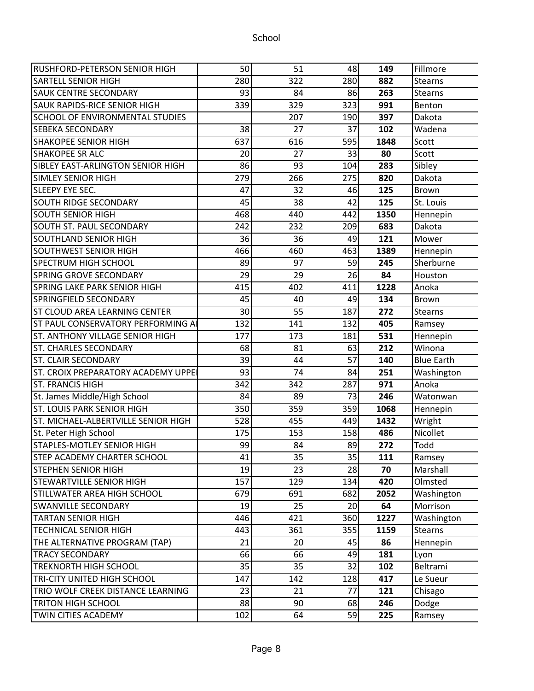| RUSHFORD-PETERSON SENIOR HIGH          | 50  | 51  | 48  | 149  | Fillmore          |
|----------------------------------------|-----|-----|-----|------|-------------------|
| <b>SARTELL SENIOR HIGH</b>             | 280 | 322 | 280 | 882  | <b>Stearns</b>    |
| <b>SAUK CENTRE SECONDARY</b>           | 93  | 84  | 86  | 263  | <b>Stearns</b>    |
| <b>SAUK RAPIDS-RICE SENIOR HIGH</b>    | 339 | 329 | 323 | 991  | Benton            |
| <b>SCHOOL OF ENVIRONMENTAL STUDIES</b> |     | 207 | 190 | 397  | Dakota            |
| <b>SEBEKA SECONDARY</b>                | 38  | 27  | 37  | 102  | Wadena            |
| <b>SHAKOPEE SENIOR HIGH</b>            | 637 | 616 | 595 | 1848 | Scott             |
| <b>SHAKOPEE SR ALC</b>                 | 20  | 27  | 33  | 80   | Scott             |
| SIBLEY EAST-ARLINGTON SENIOR HIGH      | 86  | 93  | 104 | 283  | Sibley            |
| <b>SIMLEY SENIOR HIGH</b>              | 279 | 266 | 275 | 820  | Dakota            |
| SLEEPY EYE SEC.                        | 47  | 32  | 46  | 125  | <b>Brown</b>      |
| <b>SOUTH RIDGE SECONDARY</b>           | 45  | 38  | 42  | 125  | St. Louis         |
| <b>SOUTH SENIOR HIGH</b>               | 468 | 440 | 442 | 1350 | Hennepin          |
| <b>SOUTH ST. PAUL SECONDARY</b>        | 242 | 232 | 209 | 683  | Dakota            |
| <b>SOUTHLAND SENIOR HIGH</b>           | 36  | 36  | 49  | 121  | Mower             |
| SOUTHWEST SENIOR HIGH                  | 466 | 460 | 463 | 1389 | Hennepin          |
| <b>SPECTRUM HIGH SCHOOL</b>            | 89  | 97  | 59  | 245  | Sherburne         |
| <b>SPRING GROVE SECONDARY</b>          | 29  | 29  | 26  | 84   | Houston           |
| SPRING LAKE PARK SENIOR HIGH           | 415 | 402 | 411 | 1228 | Anoka             |
| SPRINGFIELD SECONDARY                  | 45  | 40  | 49  | 134  | Brown             |
| ST CLOUD AREA LEARNING CENTER          | 30  | 55  | 187 | 272  | <b>Stearns</b>    |
| ST PAUL CONSERVATORY PERFORMING A      | 132 | 141 | 132 | 405  | Ramsey            |
| <b>ST. ANTHONY VILLAGE SENIOR HIGH</b> | 177 | 173 | 181 | 531  | Hennepin          |
| <b>ST. CHARLES SECONDARY</b>           | 68  | 81  | 63  | 212  | Winona            |
| <b>ST. CLAIR SECONDARY</b>             | 39  | 44  | 57  | 140  | <b>Blue Earth</b> |
| ST. CROIX PREPARATORY ACADEMY UPPE     | 93  | 74  | 84  | 251  | Washington        |
| <b>ST. FRANCIS HIGH</b>                | 342 | 342 | 287 | 971  | Anoka             |
| St. James Middle/High School           | 84  | 89  | 73  | 246  | Watonwan          |
| <b>ST. LOUIS PARK SENIOR HIGH</b>      | 350 | 359 | 359 | 1068 | Hennepin          |
| ST. MICHAEL-ALBERTVILLE SENIOR HIGH    | 528 | 455 | 449 | 1432 | Wright            |
| St. Peter High School                  | 175 | 153 | 158 | 486  | Nicollet          |
| <b>STAPLES-MOTLEY SENIOR HIGH</b>      | 99  | 84  | 89  | 272  | Todd              |
| <b>STEP ACADEMY CHARTER SCHOOL</b>     | 41  | 35  | 35  | 111  | Ramsey            |
| <b>STEPHEN SENIOR HIGH</b>             | 19  | 23  | 28  | 70   | Marshall          |
| STEWARTVILLE SENIOR HIGH               | 157 | 129 | 134 | 420  | Olmsted           |
| STILLWATER AREA HIGH SCHOOL            | 679 | 691 | 682 | 2052 | Washington        |
| <b>SWANVILLE SECONDARY</b>             | 19  | 25  | 20  | 64   | Morrison          |
| <b>TARTAN SENIOR HIGH</b>              | 446 | 421 | 360 | 1227 | Washington        |
| <b>TECHNICAL SENIOR HIGH</b>           | 443 | 361 | 355 | 1159 | <b>Stearns</b>    |
| THE ALTERNATIVE PROGRAM (TAP)          | 21  | 20  | 45  | 86   | Hennepin          |
| <b>TRACY SECONDARY</b>                 | 66  | 66  | 49  | 181  | Lyon              |
| <b>TREKNORTH HIGH SCHOOL</b>           | 35  | 35  | 32  | 102  | Beltrami          |
| <b>TRI-CITY UNITED HIGH SCHOOL</b>     | 147 | 142 | 128 | 417  | Le Sueur          |
| TRIO WOLF CREEK DISTANCE LEARNING      | 23  | 21  | 77  | 121  | Chisago           |
| <b>TRITON HIGH SCHOOL</b>              | 88  | 90  | 68  | 246  | Dodge             |
| TWIN CITIES ACADEMY                    | 102 | 64  | 59  | 225  | Ramsey            |